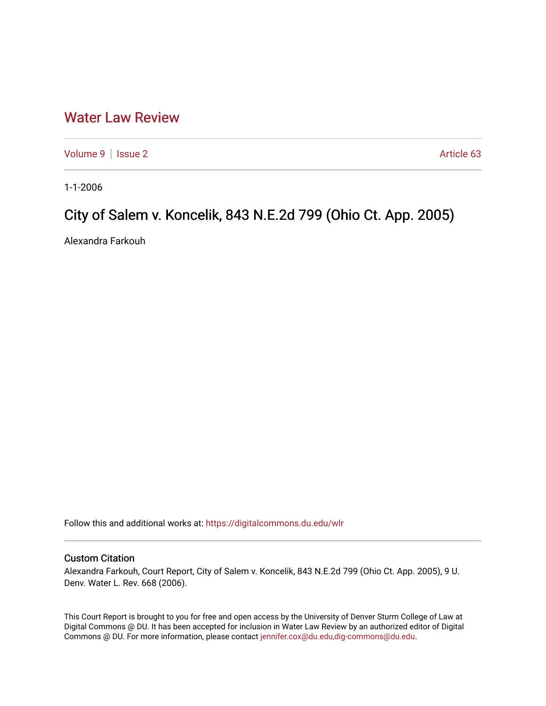## [Water Law Review](https://digitalcommons.du.edu/wlr)

[Volume 9](https://digitalcommons.du.edu/wlr/vol9) | [Issue 2](https://digitalcommons.du.edu/wlr/vol9/iss2) Article 63

1-1-2006

## City of Salem v. Koncelik, 843 N.E.2d 799 (Ohio Ct. App. 2005)

Alexandra Farkouh

Follow this and additional works at: [https://digitalcommons.du.edu/wlr](https://digitalcommons.du.edu/wlr?utm_source=digitalcommons.du.edu%2Fwlr%2Fvol9%2Fiss2%2F63&utm_medium=PDF&utm_campaign=PDFCoverPages) 

## Custom Citation

Alexandra Farkouh, Court Report, City of Salem v. Koncelik, 843 N.E.2d 799 (Ohio Ct. App. 2005), 9 U. Denv. Water L. Rev. 668 (2006).

This Court Report is brought to you for free and open access by the University of Denver Sturm College of Law at Digital Commons @ DU. It has been accepted for inclusion in Water Law Review by an authorized editor of Digital Commons @ DU. For more information, please contact [jennifer.cox@du.edu,dig-commons@du.edu.](mailto:jennifer.cox@du.edu,dig-commons@du.edu)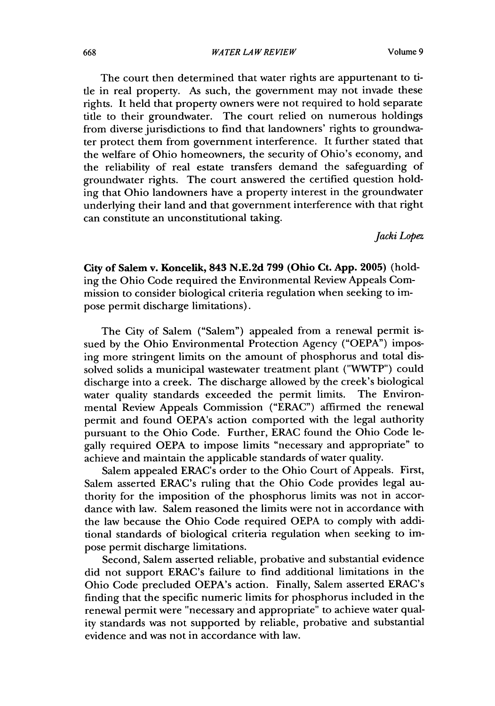The court then determined that water rights are appurtenant to title in real property. As such, the government may not invade these rights. It held that property owners were not required to hold separate title to their groundwater. The court relied on numerous holdings from diverse jurisdictions to find that landowners' rights to groundwater protect them from government interference. It further stated that the welfare of Ohio homeowners, the security of Ohio's economy, and the reliability of real estate transfers demand the safeguarding of groundwater rights. The court answered the certified question holding that Ohio landowners have a property interest in the groundwater underlying their land and that government interference with that right can constitute an unconstitutional taking.

*Jacki Lopez*

**City** of Salem v. **Koncelik, 843 N.E.2d 799 (Ohio Ct. App. 2005)** (holding the Ohio Code required the Environmental Review Appeals Commission to consider biological criteria regulation when seeking to impose permit discharge limitations).

The City of Salem ("Salem") appealed from a renewal permit issued **by** the Ohio Environmental Protection Agency **("OEPA")** imposing more stringent limits on the amount of phosphorus and total dissolved solids a municipal wastewater treatment plant ("WVTP") could discharge into a creek. The discharge allowed **by** the creek's biological water quality standards exceeded the permit limits. The Environmental Review Appeals Commission ("ERAC") affirmed the renewal permit and found OEPA's action comported with the legal authority pursuant to the Ohio Code. Further, ERAC found the Ohio Code legally required **OEPA** to impose limits "necessary and appropriate" to achieve and maintain the applicable standards of water quality.

Salem appealed ERAC's order to the Ohio Court of Appeals. First, Salem asserted ERAC's ruling that the Ohio Code provides legal authority for the imposition of the phosphorus limits was not in accordance with law. Salem reasoned the limits were not in accordance with the law because the Ohio Code required **OEPA** to comply with additional standards of biological criteria regulation when seeking to impose permit discharge limitations.

Second, Salem asserted reliable, probative and substantial evidence did not support ERAC's failure to find additional limitations in the Ohio Code precluded OEPA's action. Finally, Salem asserted ERAC's finding that the specific numeric limits for phosphorus included in the renewal permit were "necessary and appropriate" to achieve water quality standards was not supported **by** reliable, probative and substantial evidence and was not in accordance with law.